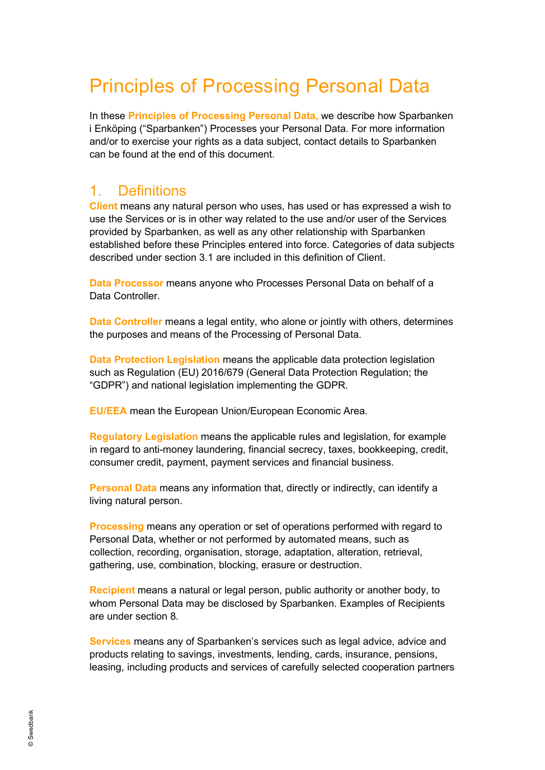# Principles of Processing Personal Data

In these **Principles of Processing Personal Data,** we describe how Sparbanken i Enköping ("Sparbanken") Processes your Personal Data. For more information and/or to exercise your rights as a data subject, contact details to Sparbanken can be found at the end of this document.

#### 1. Definitions

**Client** means any natural person who uses, has used or has expressed a wish to use the Services or is in other way related to the use and/or user of the Services provided by Sparbanken, as well as any other relationship with Sparbanken established before these Principles entered into force. Categories of data subjects described under section 3.1 are included in this definition of Client.

**Data Processor** means anyone who Processes Personal Data on behalf of a Data Controller.

**Data Controller** means a legal entity, who alone or jointly with others, determines the purposes and means of the Processing of Personal Data.

**Data Protection Legislation** means the applicable data protection legislation such as Regulation (EU) 2016/679 (General Data Protection Regulation; the "GDPR") and national legislation implementing the GDPR.

**EU/EEA** mean the European Union/European Economic Area.

**Regulatory Legislation** means the applicable rules and legislation, for example in regard to anti-money laundering, financial secrecy, taxes, bookkeeping, credit, consumer credit, payment, payment services and financial business.

**Personal Data** means any information that, directly or indirectly, can identify a living natural person.

**Processing** means any operation or set of operations performed with regard to Personal Data, whether or not performed by automated means, such as collection, recording, organisation, storage, adaptation, alteration, retrieval, gathering, use, combination, blocking, erasure or destruction.

**Recipient** means a natural or legal person, public authority or another body, to whom Personal Data may be disclosed by Sparbanken. Examples of Recipients are under section 8.

**Services** means any of Sparbanken's services such as legal advice, advice and products relating to savings, investments, lending, cards, insurance, pensions, leasing, including products and services of carefully selected cooperation partners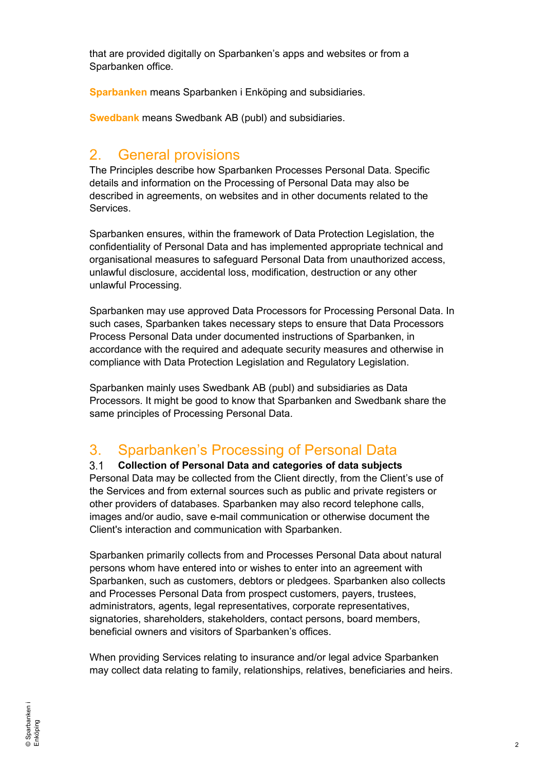that are provided digitally on Sparbanken's apps and websites or from a Sparbanken office.

**Sparbanken** means Sparbanken i Enköping and subsidiaries.

**Swedbank** means Swedbank AB (publ) and subsidiaries.

#### 2. General provisions

The Principles describe how Sparbanken Processes Personal Data. Specific details and information on the Processing of Personal Data may also be described in agreements, on websites and in other documents related to the **Services** 

Sparbanken ensures, within the framework of Data Protection Legislation, the confidentiality of Personal Data and has implemented appropriate technical and organisational measures to safeguard Personal Data from unauthorized access, unlawful disclosure, accidental loss, modification, destruction or any other unlawful Processing.

Sparbanken may use approved Data Processors for Processing Personal Data. In such cases, Sparbanken takes necessary steps to ensure that Data Processors Process Personal Data under documented instructions of Sparbanken, in accordance with the required and adequate security measures and otherwise in compliance with Data Protection Legislation and Regulatory Legislation.

Sparbanken mainly uses Swedbank AB (publ) and subsidiaries as Data Processors. It might be good to know that Sparbanken and Swedbank share the same principles of Processing Personal Data.

#### 3. Sparbanken's Processing of Personal Data

 $3.1$ **Collection of Personal Data and categories of data subjects** Personal Data may be collected from the Client directly, from the Client's use of the Services and from external sources such as public and private registers or other providers of databases. Sparbanken may also record telephone calls, images and/or audio, save e-mail communication or otherwise document the Client's interaction and communication with Sparbanken.

Sparbanken primarily collects from and Processes Personal Data about natural persons whom have entered into or wishes to enter into an agreement with Sparbanken, such as customers, debtors or pledgees. Sparbanken also collects and Processes Personal Data from prospect customers, payers, trustees, administrators, agents, legal representatives, corporate representatives, signatories, shareholders, stakeholders, contact persons, board members, beneficial owners and visitors of Sparbanken's offices.

When providing Services relating to insurance and/or legal advice Sparbanken may collect data relating to family, relationships, relatives, beneficiaries and heirs.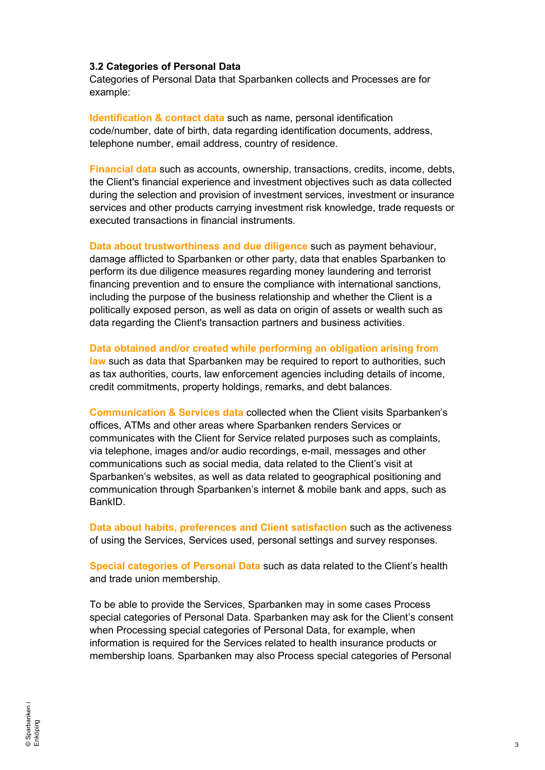#### **3.2 Categories of Personal Data**

Categories of Personal Data that Sparbanken collects and Processes are for example:

**Identification & contact data** such as name, personal identification code/number, date of birth, data regarding identification documents, address, telephone number, email address, country of residence.

**Financial data** such as accounts, ownership, transactions, credits, income, debts, the Client's financial experience and investment objectives such as data collected during the selection and provision of investment services, investment or insurance services and other products carrying investment risk knowledge, trade requests or executed transactions in financial instruments.

**Data about trustworthiness and due diligence** such as payment behaviour, damage afflicted to Sparbanken or other party, data that enables Sparbanken to perform its due diligence measures regarding money laundering and terrorist financing prevention and to ensure the compliance with international sanctions, including the purpose of the business relationship and whether the Client is a politically exposed person, as well as data on origin of assets or wealth such as data regarding the Client's transaction partners and business activities.

**Data obtained and/or created while performing an obligation arising from** 

**law** such as data that Sparbanken may be required to report to authorities, such as tax authorities, courts, law enforcement agencies including details of income, credit commitments, property holdings, remarks, and debt balances.

**Communication & Services data** collected when the Client visits Sparbanken's offices, ATMs and other areas where Sparbanken renders Services or communicates with the Client for Service related purposes such as complaints, via telephone, images and/or audio recordings, e-mail, messages and other communications such as social media, data related to the Client's visit at Sparbanken's websites, as well as data related to geographical positioning and communication through Sparbanken's internet & mobile bank and apps, such as BankID.

**Data about habits, preferences and Client satisfaction** such as the activeness of using the Services, Services used, personal settings and survey responses.

**Special categories of Personal Data** such as data related to the Client's health and trade union membership.

To be able to provide the Services, Sparbanken may in some cases Process special categories of Personal Data. Sparbanken may ask for the Client's consent when Processing special categories of Personal Data, for example, when information is required for the Services related to health insurance products or membership loans. Sparbanken may also Process special categories of Personal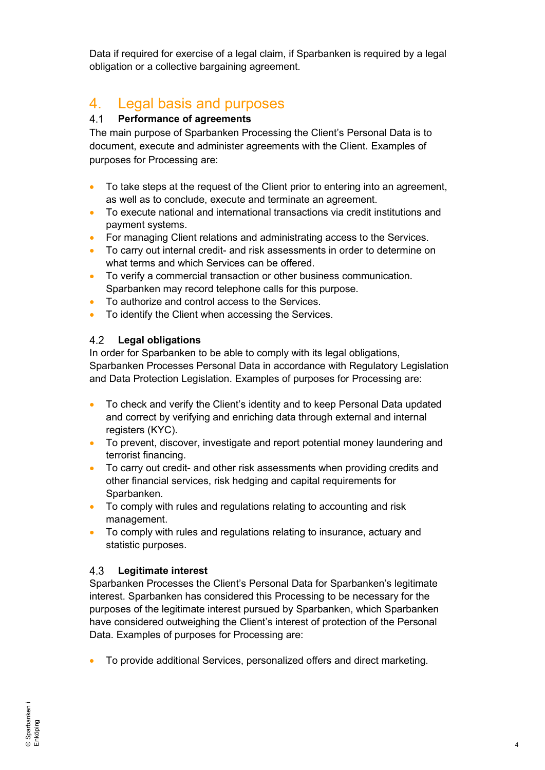Data if required for exercise of a legal claim, if Sparbanken is required by a legal obligation or a collective bargaining agreement.

#### 4. Legal basis and purposes

#### $4.1$ **Performance of agreements**

The main purpose of Sparbanken Processing the Client's Personal Data is to document, execute and administer agreements with the Client. Examples of purposes for Processing are:

- To take steps at the request of the Client prior to entering into an agreement, as well as to conclude, execute and terminate an agreement.
- To execute national and international transactions via credit institutions and payment systems.
- For managing Client relations and administrating access to the Services.
- To carry out internal credit- and risk assessments in order to determine on what terms and which Services can be offered.
- To verify a commercial transaction or other business communication. Sparbanken may record telephone calls for this purpose.
- To authorize and control access to the Services.
- To identify the Client when accessing the Services.

#### $4.2$ **Legal obligations**

In order for Sparbanken to be able to comply with its legal obligations, Sparbanken Processes Personal Data in accordance with Regulatory Legislation and Data Protection Legislation. Examples of purposes for Processing are:

- To check and verify the Client's identity and to keep Personal Data updated and correct by verifying and enriching data through external and internal registers (KYC).
- To prevent, discover, investigate and report potential money laundering and terrorist financing.
- To carry out credit- and other risk assessments when providing credits and other financial services, risk hedging and capital requirements for Sparbanken.
- To comply with rules and regulations relating to accounting and risk management.
- To comply with rules and regulations relating to insurance, actuary and statistic purposes.

#### **Legitimate interest**  $4.3$

Sparbanken Processes the Client's Personal Data for Sparbanken's legitimate interest. Sparbanken has considered this Processing to be necessary for the purposes of the legitimate interest pursued by Sparbanken, which Sparbanken have considered outweighing the Client's interest of protection of the Personal Data. Examples of purposes for Processing are:

• To provide additional Services, personalized offers and direct marketing.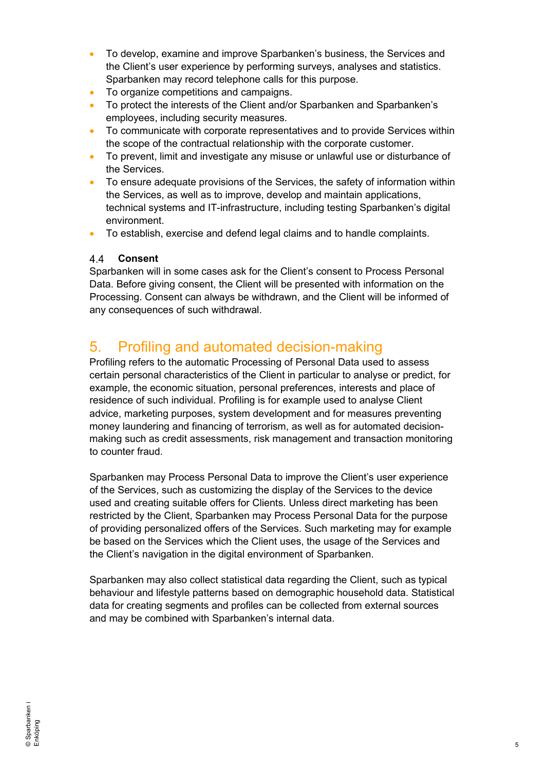- To develop, examine and improve Sparbanken's business, the Services and the Client's user experience by performing surveys, analyses and statistics. Sparbanken may record telephone calls for this purpose.
- To organize competitions and campaigns.
- To protect the interests of the Client and/or Sparbanken and Sparbanken's employees, including security measures.
- To communicate with corporate representatives and to provide Services within the scope of the contractual relationship with the corporate customer.
- To prevent, limit and investigate any misuse or unlawful use or disturbance of the Services.
- To ensure adequate provisions of the Services, the safety of information within the Services, as well as to improve, develop and maintain applications, technical systems and IT-infrastructure, including testing Sparbanken's digital environment.
- To establish, exercise and defend legal claims and to handle complaints.

#### $4.4$ **Consent**

Sparbanken will in some cases ask for the Client's consent to Process Personal Data. Before giving consent, the Client will be presented with information on the Processing. Consent can always be withdrawn, and the Client will be informed of any consequences of such withdrawal.

### 5. Profiling and automated decision-making

Profiling refers to the automatic Processing of Personal Data used to assess certain personal characteristics of the Client in particular to analyse or predict, for example, the economic situation, personal preferences, interests and place of residence of such individual. Profiling is for example used to analyse Client advice, marketing purposes, system development and for measures preventing money laundering and financing of terrorism, as well as for automated decisionmaking such as credit assessments, risk management and transaction monitoring to counter fraud.

Sparbanken may Process Personal Data to improve the Client's user experience of the Services, such as customizing the display of the Services to the device used and creating suitable offers for Clients. Unless direct marketing has been restricted by the Client, Sparbanken may Process Personal Data for the purpose of providing personalized offers of the Services. Such marketing may for example be based on the Services which the Client uses, the usage of the Services and the Client's navigation in the digital environment of Sparbanken.

Sparbanken may also collect statistical data regarding the Client, such as typical behaviour and lifestyle patterns based on demographic household data. Statistical data for creating segments and profiles can be collected from external sources and may be combined with Sparbanken's internal data.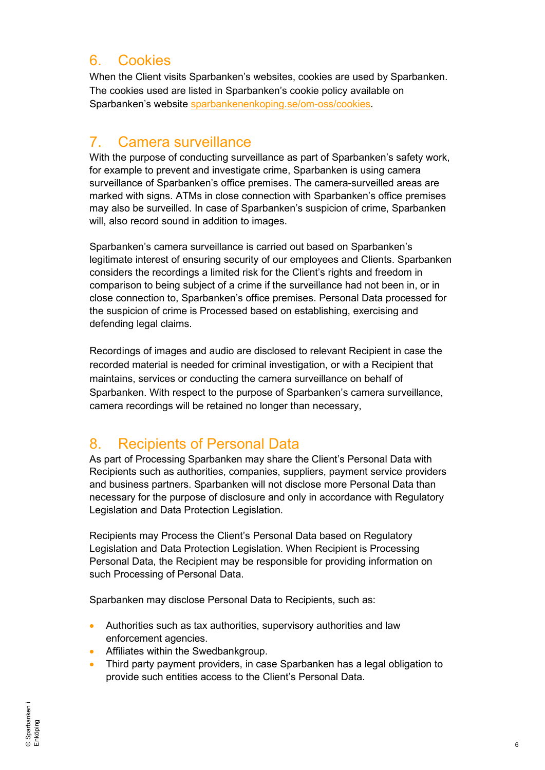### 6. Cookies

When the Client visits Sparbanken's websites, cookies are used by Sparbanken. The cookies used are listed in Sparbanken's cookie policy available on Sparbanken's website [sparbankenenkoping.se/om-oss/cookies.](https://www.sparbankenenkoping.se/om-oss/cookies.html)

## 7. Camera surveillance

With the purpose of conducting surveillance as part of Sparbanken's safety work, for example to prevent and investigate crime, Sparbanken is using camera surveillance of Sparbanken's office premises. The camera-surveilled areas are marked with signs. ATMs in close connection with Sparbanken's office premises may also be surveilled. In case of Sparbanken's suspicion of crime, Sparbanken will, also record sound in addition to images.

Sparbanken's camera surveillance is carried out based on Sparbanken's legitimate interest of ensuring security of our employees and Clients. Sparbanken considers the recordings a limited risk for the Client's rights and freedom in comparison to being subject of a crime if the surveillance had not been in, or in close connection to, Sparbanken's office premises. Personal Data processed for the suspicion of crime is Processed based on establishing, exercising and defending legal claims.

Recordings of images and audio are disclosed to relevant Recipient in case the recorded material is needed for criminal investigation, or with a Recipient that maintains, services or conducting the camera surveillance on behalf of Sparbanken. With respect to the purpose of Sparbanken's camera surveillance, camera recordings will be retained no longer than necessary,

### 8. Recipients of Personal Data

As part of Processing Sparbanken may share the Client's Personal Data with Recipients such as authorities, companies, suppliers, payment service providers and business partners. Sparbanken will not disclose more Personal Data than necessary for the purpose of disclosure and only in accordance with Regulatory Legislation and Data Protection Legislation.

Recipients may Process the Client's Personal Data based on Regulatory Legislation and Data Protection Legislation. When Recipient is Processing Personal Data, the Recipient may be responsible for providing information on such Processing of Personal Data.

Sparbanken may disclose Personal Data to Recipients, such as:

- Authorities such as tax authorities, supervisory authorities and law enforcement agencies.
- Affiliates within the Swedbankgroup.
- Third party payment providers, in case Sparbanken has a legal obligation to provide such entities access to the Client's Personal Data.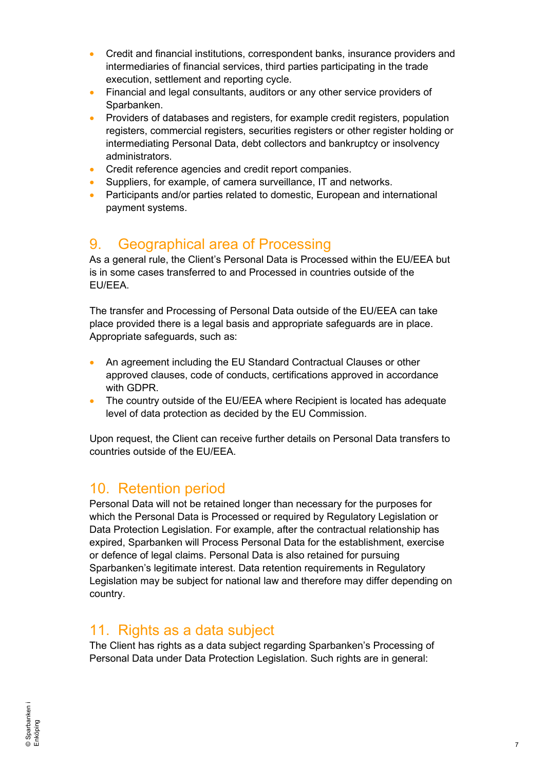- Credit and financial institutions, correspondent banks, insurance providers and intermediaries of financial services, third parties participating in the trade execution, settlement and reporting cycle.
- Financial and legal consultants, auditors or any other service providers of Sparbanken.
- Providers of databases and registers, for example credit registers, population registers, commercial registers, securities registers or other register holding or intermediating Personal Data, debt collectors and bankruptcy or insolvency administrators.
- Credit reference agencies and credit report companies.
- Suppliers, for example, of camera surveillance, IT and networks.
- Participants and/or parties related to domestic, European and international payment systems.

#### 9. Geographical area of Processing

As a general rule, the Client's Personal Data is Processed within the EU/EEA but is in some cases transferred to and Processed in countries outside of the EU/EEA.

The transfer and Processing of Personal Data outside of the EU/EEA can take place provided there is a legal basis and appropriate safeguards are in place. Appropriate safeguards, such as:

- An agreement including the EU Standard Contractual Clauses or other approved clauses, code of conducts, certifications approved in accordance with GDPR.
- The country outside of the EU/EEA where Recipient is located has adequate level of data protection as decided by the EU Commission.

Upon request, the Client can receive further details on Personal Data transfers to countries outside of the EU/EEA.

#### 10. Retention period

Personal Data will not be retained longer than necessary for the purposes for which the Personal Data is Processed or required by Regulatory Legislation or Data Protection Legislation. For example, after the contractual relationship has expired, Sparbanken will Process Personal Data for the establishment, exercise or defence of legal claims. Personal Data is also retained for pursuing Sparbanken's legitimate interest. Data retention requirements in Regulatory Legislation may be subject for national law and therefore may differ depending on country.

#### 11. Rights as a data subject

The Client has rights as a data subject regarding Sparbanken's Processing of Personal Data under Data Protection Legislation. Such rights are in general: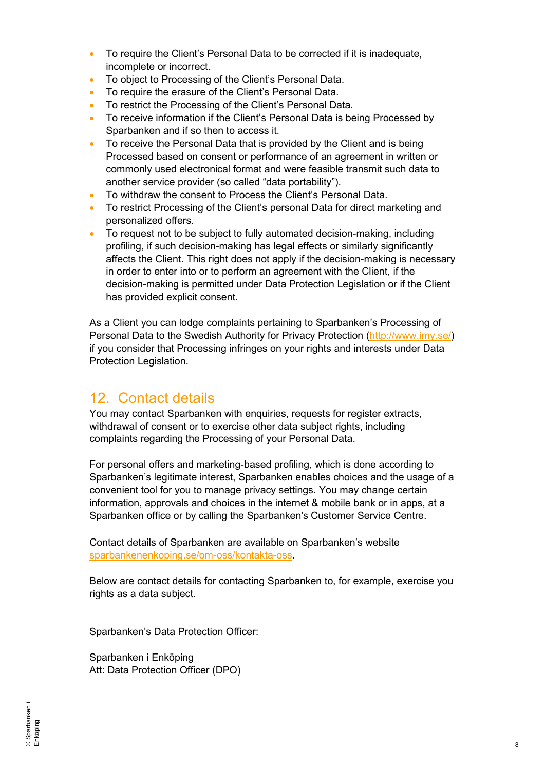- To require the Client's Personal Data to be corrected if it is inadequate, incomplete or incorrect.
- To object to Processing of the Client's Personal Data.
- To require the erasure of the Client's Personal Data.
- To restrict the Processing of the Client's Personal Data.
- To receive information if the Client's Personal Data is being Processed by Sparbanken and if so then to access it.
- To receive the Personal Data that is provided by the Client and is being Processed based on consent or performance of an agreement in written or commonly used electronical format and were feasible transmit such data to another service provider (so called "data portability").
- To withdraw the consent to Process the Client's Personal Data.
- To restrict Processing of the Client's personal Data for direct marketing and personalized offers.
- To request not to be subject to fully automated decision-making, including profiling, if such decision-making has legal effects or similarly significantly affects the Client. This right does not apply if the decision-making is necessary in order to enter into or to perform an agreement with the Client, if the decision-making is permitted under Data Protection Legislation or if the Client has provided explicit consent.

As a Client you can lodge complaints pertaining to Sparbanken's Processing of Personal Data to the Swedish Authority for Privacy Protection [\(http://www.imy.se/\)](http://http/www.imy.se/) if you consider that Processing infringes on your rights and interests under Data Protection Legislation.

### 12. Contact details

You may contact Sparbanken with enquiries, requests for register extracts, withdrawal of consent or to exercise other data subiect rights, including complaints regarding the Processing of your Personal Data.

For personal offers and marketing-based profiling, which is done according to Sparbanken's legitimate interest, Sparbanken enables choices and the usage of a convenient tool for you to manage privacy settings. You may change certain information, approvals and choices in the internet & mobile bank or in apps, at a Sparbanken office or by calling the Sparbanken's Customer Service Centre.

Contact details of Sparbanken are available on Sparbanken's website [sparbankenenkoping.se/om-oss/kontakta-oss.](https://sparbankenenkoping.se/om-oss/kontakta-oss)

Below are contact details for contacting Sparbanken to, for example, exercise you rights as a data subject.

Sparbanken's Data Protection Officer:

Sparbanken i Enköping Att: Data Protection Officer (DPO)